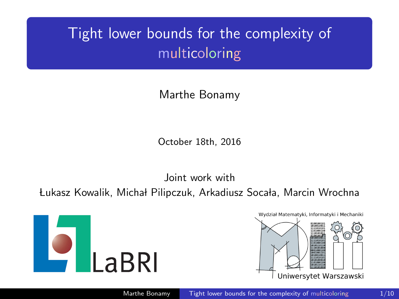# Tight lower bounds for the complexity of multicoloring

Marthe Bonamy

October 18th, 2016

Joint work with

Łukasz Kowalik, Michał Pilipczuk, Arkadiusz Socała, Marcin Wrochna



<span id="page-0-0"></span>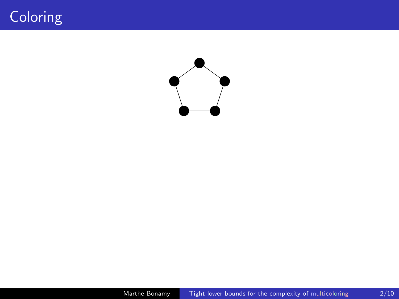## Coloring

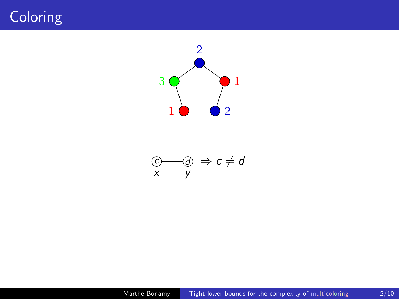## Coloring



$$
\begin{array}{ccc}\n\textcircled{c}\n & \textcircled{d} & \Rightarrow c \neq d \\
x & y\n\end{array}
$$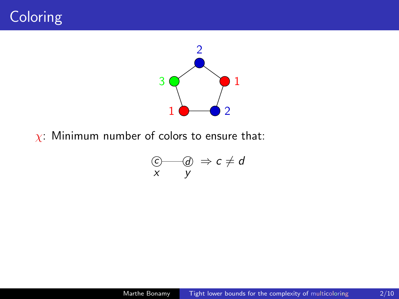



 $\chi$ : Minimum number of colors to ensure that:

$$
\begin{array}{c}\n\textcircled{c}\qquad \textcircled{d} \\
x \qquad y\n\end{array} \Rightarrow c \neq d
$$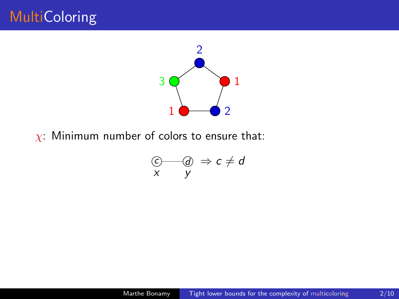

 $\chi$ : Minimum number of colors to ensure that:

i,

$$
\begin{array}{c}\n\textcircled{2}\qquad \textcircled{3}\qquad \Rightarrow c \neq d \\
x \qquad y\n\end{array}
$$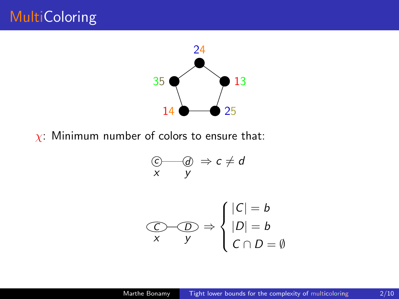

 $\chi$ : Minimum number of colors to ensure that:

i,

$$
\begin{array}{c}\n\textcircled{c}\n\\ \n\textcircled{f} & \textcircled{g} \\
\textcircled{f} & \textcircled{g} \\
\textcircled{g} & \textcircled{g} \\
\textcircled{g} & \textcircled{g} \\
\textcircled{g} & \textcircled{g} \\
\textcircled{g} & \textcircled{g} \\
\textcircled{g} & \textcircled{g} \\
\textcircled{g} & \textcircled{g} \\
\textcircled{g} & \textcircled{g} \\
\textcircled{g} & \textcircled{g} \\
\textcircled{g} & \textcircled{g} \\
\textcircled{g} & \textcircled{g} \\
\textcircled{g} & \textcircled{g} \\
\textcircled{g} & \textcircled{g} \\
\textcircled{g} & \textcircled{g} \\
\textcircled{g} & \textcircled{g} \\
\textcircled{g} & \textcircled{g} \\
\textcircled{g} & \textcircled{g} \\
\textcircled{g} & \textcircled{g} \\
\textcircled{g} & \textcircled{g} \\
\textcircled{g} & \textcircled{g} \\
\textcircled{g} & \textcircled{g} \\
\textcircled{g} & \textcircled{g} \\
\textcircled{g} & \textcircled{g} \\
\textcircled{g} & \textcircled{g} \\
\textcircled{g} & \textcircled{g} \\
\textcircled{g} & \textcircled{g} \\
\textcircled{g} & \textcircled{g} \\
\textcircled{g} & \textcircled{g} \\
\textcircled{g} & \textcircled{g} \\
\textcircled{g} & \textcircled{g} \\
\textcircled{g} & \textcircled{g} \\
\textcircled{g} & \textcircled{g} \\
\textcircled{g} & \textcircled{g} \\
\textcircled{g} & \textcircled{g} \\
\textcircled{g} & \textcircled{g} \\
\textcircled{g} & \textcircled{g} \\
\textcircled{g} & \textcircled{g} \\
\textcircled{g} & \textcircled{g} \\
\textcircled{g} & \textcircled{g} \\
\textcircled{g} & \textcircled{g} \\
\textcircled{g} & \textcircled{g} \\
\textcircled{g} & \textcircled{g} \\
\textcircled{g} & \textcircled{g} \\
\textcircled{g} & \textcircled{g} \\
\textcircled{g} & \textcircled{g} \\
\textcircled{
$$

$$
\bigodot_{X} \widehat{D} \Rightarrow \begin{cases} |C| = b \\ |D| = b \\ C \cap D = \emptyset \end{cases}
$$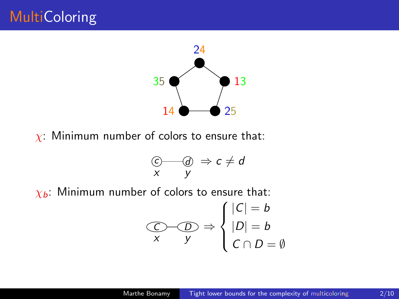

 $\chi$ : Minimum number of colors to ensure that:

$$
\begin{array}{c}\n\textcircled{c}\n\textcircled{d} & \Rightarrow c \neq d \\
x & y\n\end{array}
$$

 $\chi_b$ : Minimum number of colors to ensure that:

$$
\bigodot_{X} \widehat{D} \implies \begin{cases} |C| = b \\ |D| = b \\ C \cap D = \emptyset \end{cases}
$$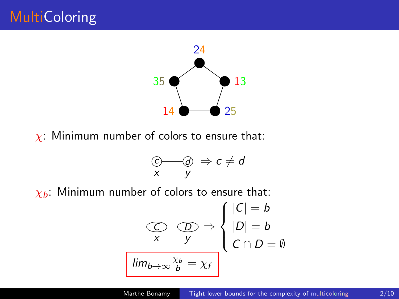

 $\chi$ : Minimum number of colors to ensure that:

$$
\begin{array}{c}\n\textcircled{c}\n\textcircled{d} & \Rightarrow c \neq d \\
x & y\n\end{array}
$$

 $\chi_b$ : Minimum number of colors to ensure that:

$$
\frac{C}{\sqrt{D}} \Rightarrow \begin{cases} |C| = b \\ |D| = b \\ C \cap D = \emptyset \end{cases}
$$
  
 
$$
\boxed{\lim_{b \to \infty} \frac{\chi_b}{b} = \chi_f}
$$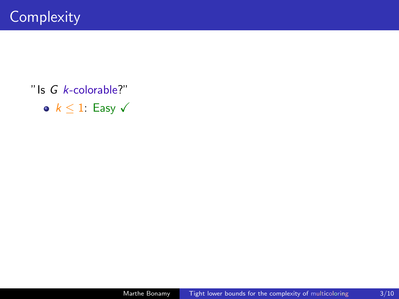•  $k \leq 1$ : Easy  $\checkmark$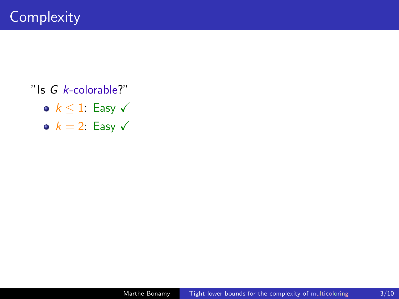- $k \leq 1$ : Easy  $\checkmark$
- $k = 2$ : Easy  $\sqrt{ }$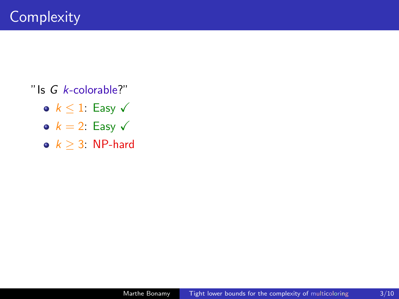- $k < 1$ : Easy  $\sqrt{ }$
- $k = 2$ : Easy  $\sqrt{ }$
- $k > 3$ : NP-hard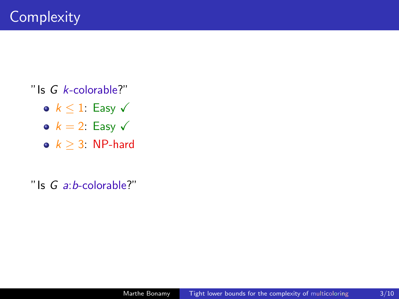- $k < 1$ : Easy  $\sqrt{ }$
- $k = 2$ : Easy  $\sqrt{ }$
- $k > 3$ : NP-hard

"Is  $G$  a: b-colorable?"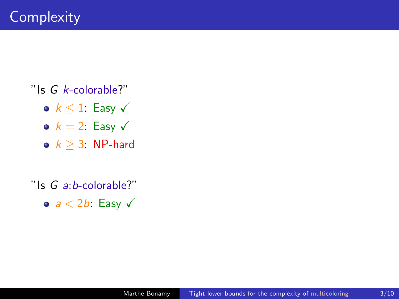- $k < 1$ : Easy  $\sqrt{ }$
- $k = 2$ : Easy  $\sqrt{ }$
- $k > 3$ : NP-hard

"Is  $G$  a: b-colorable?"

•  $a < 2b$ : Easy  $\sqrt{ }$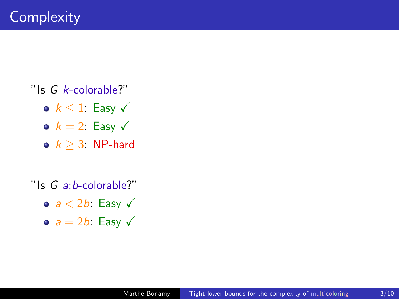- $k < 1$ : Easy  $\sqrt{ }$
- $k = 2$ : Easy  $\sqrt{ }$
- $k > 3$ : NP-hard

"Is  $G$  a: b-colorable?"

- $a < 2b$ : Easy  $\sqrt{ }$
- $a = 2b$ : Easy  $\sqrt{ }$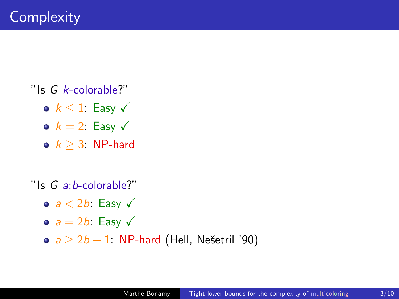- $k < 1$ : Easy  $\sqrt{ }$
- $k = 2$ : Easy  $\sqrt{ }$
- $k > 3$ . NP-hard

"Is  $G$  a: b-colorable?"

- $a < 2b$ : Easy  $\sqrt{ }$
- $\bullet$   $a = 2b$ : Easy  $\checkmark$
- $\bullet$  a > 2b + 1: NP-hard (Hell, Nešetril '90)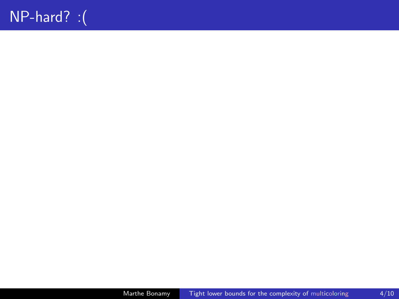### NP-hard? :(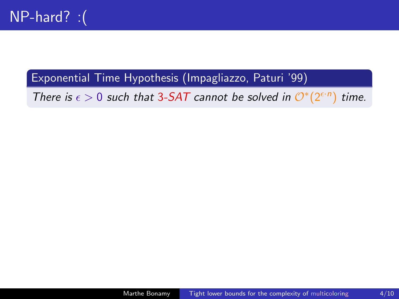#### Exponential Time Hypothesis (Impagliazzo, Paturi '99)

There is  $\epsilon > 0$  such that 3-SAT cannot be solved in  $\mathcal{O}^*(2^{\epsilon \cdot n})$ time.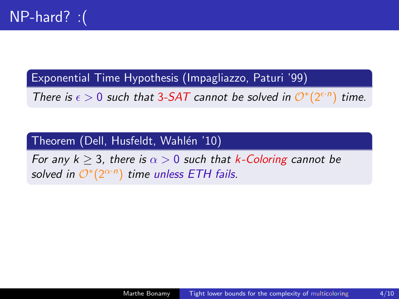Exponential Time Hypothesis (Impagliazzo, Paturi '99)

There is  $\epsilon > 0$  such that 3-SAT cannot be solved in  $\mathcal{O}^*(2^{\epsilon \cdot n})$ ) time.

#### Theorem (Dell, Husfeldt, Wahlén '10)

For any  $k > 3$ , there is  $\alpha > 0$  such that k-Coloring cannot be solved in  $\mathcal{O}^*(2^{\alpha \cdot n})$  time unless ETH fails.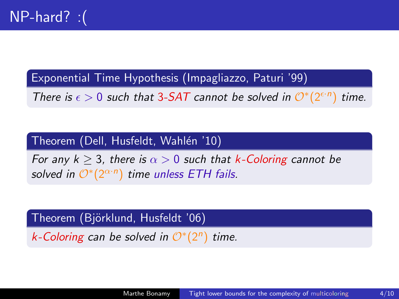Exponential Time Hypothesis (Impagliazzo, Paturi '99)

There is  $\epsilon > 0$  such that 3-SAT cannot be solved in  $\mathcal{O}^*(2^{\epsilon \cdot n})$ ) time.

#### Theorem (Dell, Husfeldt, Wahlén '10)

For any  $k > 3$ , there is  $\alpha > 0$  such that k-Coloring cannot be solved in  $\mathcal{O}^*(2^{\alpha \cdot n})$  time unless ETH fails.

#### Theorem (Björklund, Husfeldt '06)

k-Coloring can be solved in  $\mathcal{O}^*(2^n)$  time.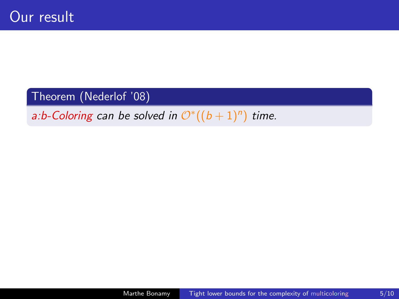#### Theorem (Nederlof '08)

a:b-Coloring can be solved in  $\mathcal{O}^{*}((b+1)^{n})$  time.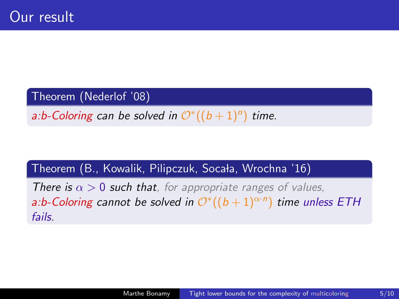#### Theorem (Nederlof '08)

a:b-Coloring can be solved in  $\mathcal{O}^{*}((b+1)^{n})$  time.

#### Theorem (B., Kowalik, Pilipczuk, Socała, Wrochna '16)

**There is**  $\alpha > 0$  **such that**, for appropriate ranges of values, a:b-Coloring cannot be solved in  $\mathcal{O}^{*}((b+1)^{\alpha \cdot n})$  time unless ETH fails.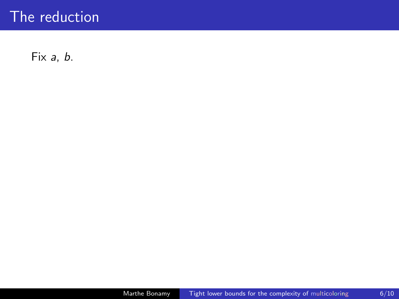Fix a, b.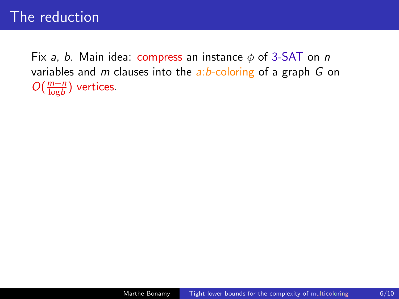Fix a, b. Main idea: compress an instance  $\phi$  of 3-SAT on n variables and m clauses into the  $a:b$ -coloring of a graph G on  $O(\frac{m+n}{\log b})$  $\frac{m+n}{\log b}$ ) vertices.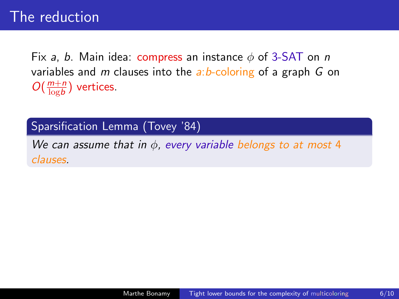Fix a, b. Main idea: compress an instance  $\phi$  of 3-SAT on n variables and m clauses into the  $a:b$ -coloring of a graph G on  $O(\frac{m+n}{\log b})$  $\frac{m+n}{\log b}$ ) vertices.

Sparsification Lemma (Tovey '84)

We can assume that in  $\phi$ , every variable belongs to at most 4 clauses.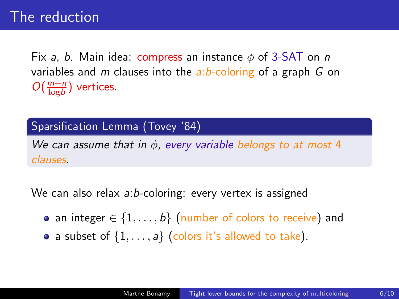Fix a, b. Main idea: compress an instance  $\phi$  of 3-SAT on n variables and m clauses into the  $a:b$ -coloring of a graph G on  $O(\frac{m+n}{\log b})$  $\frac{m+n}{\log b}$ ) vertices.

Sparsification Lemma (Tovey '84)

We can assume that in  $\phi$ , every variable belongs to at most 4 clauses.

We can also relax a:b-coloring: every vertex is assigned

- an integer  $\in \{1, \ldots, b\}$  (number of colors to receive) and
- a subset of  $\{1, \ldots, a\}$  (colors it's allowed to take).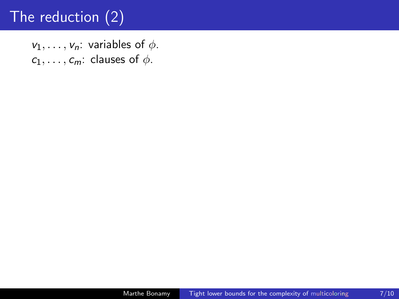$v_1, \ldots, v_n$ : variables of  $\phi$ .  $c_1, \ldots, c_m$ : clauses of  $\phi$ .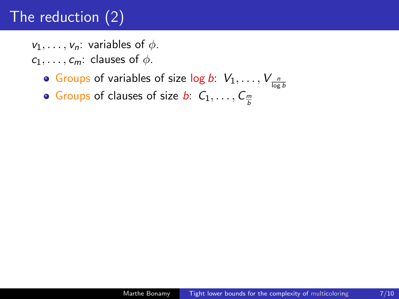$v_1, \ldots, v_n$ : variables of  $\phi$ .

- $c_1, \ldots, c_m$ : clauses of  $\phi$ .
	- Groups of variables of size  $\log b: \ V_1, \ldots, V_{\frac{n}{\log b}}$
	- Groups of clauses of size  $b$ :  $C_1, \ldots, C_{\frac{m}{b}}$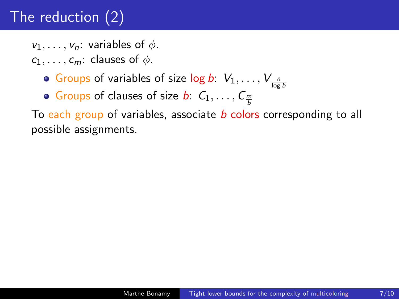$v_1, \ldots, v_n$ : variables of  $\phi$ .

- $c_1, \ldots, c_m$ : clauses of  $\phi$ .
	- Groups of variables of size  $\log b: \ V_1, \ldots, V_{\frac{n}{\log b}}$
	- Groups of clauses of size  $b$ :  $C_1, \ldots, C_{\frac{m}{b}}$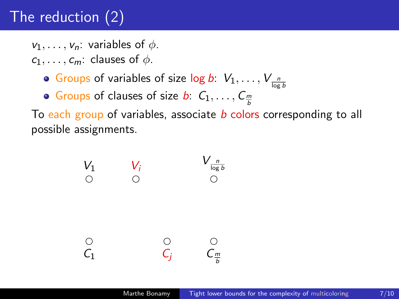$v_1, \ldots, v_n$ : variables of  $\phi$ .

- $c_1, \ldots, c_m$ : clauses of  $\phi$ .
	- Groups of variables of size  $\log b: \ V_1, \ldots, V_{\frac{n}{\log b}}$
	- Groups of clauses of size  $b$ :  $C_1, \ldots, C_{\frac{m}{b}}$

$$
V_1 \t V_i \t V_{\frac{n}{\log b}}
$$
\n
$$
\bigcirc \t O \t O
$$
\n
$$
C_1 \t C_j \t C_{\frac{m}{b}}
$$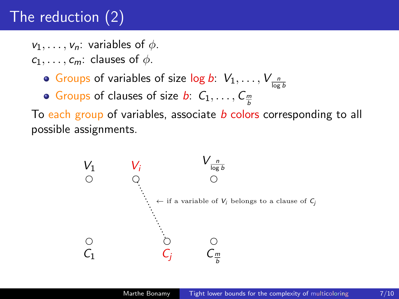$v_1, \ldots, v_n$ : variables of  $\phi$ .

- $c_1, \ldots, c_m$ : clauses of  $\phi$ .
	- Groups of variables of size  $\log b: \ V_1, \ldots, V_{\frac{n}{\log b}}$
	- Groups of clauses of size  $b$ :  $C_1, \ldots, C_{\frac{m}{b}}$

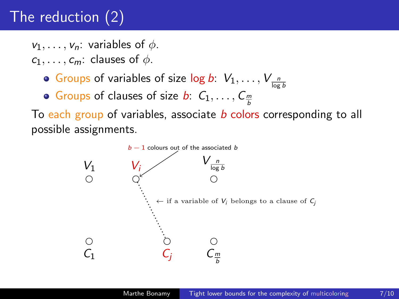$v_1, \ldots, v_n$ : variables of  $\phi$ .

- $c_1, \ldots, c_m$ : clauses of  $\phi$ .
	- Groups of variables of size  $\log b: \ V_1, \ldots, V_{\frac{n}{\log b}}$
	- Groups of clauses of size  $b$ :  $C_1, \ldots, C_{\frac{m}{b}}$

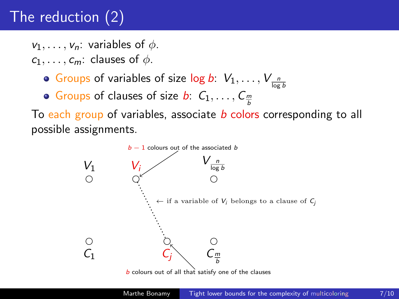$v_1, \ldots, v_n$ : variables of  $\phi$ .

- $c_1, \ldots, c_m$ : clauses of  $\phi$ .
	- Groups of variables of size  $\log b: \ V_1, \ldots, V_{\frac{n}{\log b}}$
	- Groups of clauses of size  $b$ :  $C_1, \ldots, C_{\frac{m}{b}}$



**b** colours out of all that satisfy one of the clauses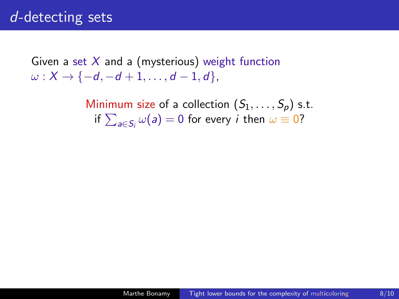Given a set  $X$  and a (mysterious) weight function  $\omega : X \to \{-d, -d + 1, \ldots, d - 1, d\},\$ 

> Minimum size of a collection  $(S_1, \ldots, S_p)$  s.t. if  $\sum_{a\in S_i}\omega(a)=0$  for every  $i$  then  $\omega\equiv 0$ ?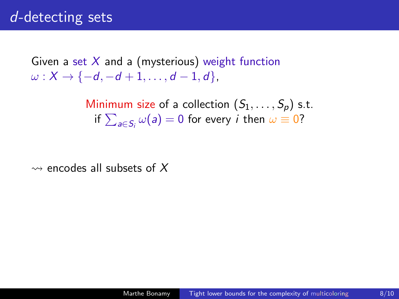Given a set  $X$  and a (mysterious) weight function  $\omega: X \to \{-d, -d+1, \ldots, d-1, d\},\$ 

> Minimum size of a collection  $(S_1, \ldots, S_p)$  s.t. if  $\sum_{a\in S_i}\omega(a)=0$  for every  $i$  then  $\omega\equiv 0$ ?

 $\rightsquigarrow$  encodes all subsets of X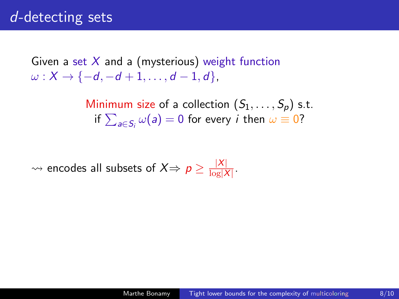Given a set  $X$  and a (mysterious) weight function  $\omega : X \to \{-d, -d + 1, \ldots, d - 1, d\},\$ 

> Minimum size of a collection  $(S_1, \ldots, S_n)$  s.t. if  $\sum_{a\in S_i}\omega(a)=0$  for every  $i$  then  $\omega\equiv 0$ ?

 $\rightsquigarrow$  encodes all subsets of  $X\Rightarrow p \geq \frac{|X|}{\log |X|}$  $\frac{|\Delta|}{\log |X|}$ .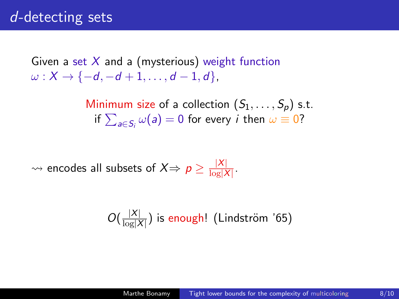Given a set  $X$  and a (mysterious) weight function  $\omega : X \to \{-d, -d + 1, \ldots, d - 1, d\},\$ 

> Minimum size of a collection  $(S_1, \ldots, S_n)$  s.t. if  $\sum_{a\in S_i}\omega(a)=0$  for every  $i$  then  $\omega\equiv 0$ ?

 $\rightsquigarrow$  encodes all subsets of  $X\Rightarrow p \geq \frac{|X|}{\log |X|}$  $\frac{|\Delta|}{\log |X|}$ .

$$
O(\frac{|X|}{\log |X|})
$$
 is enough! (Lindström '65)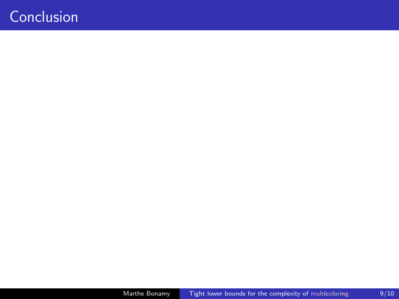### <span id="page-37-0"></span>**Conclusion**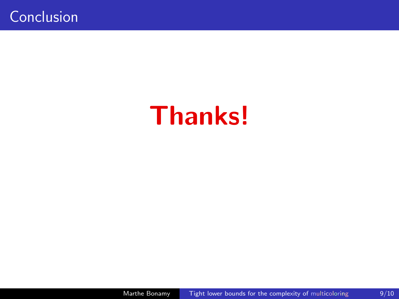# Thanks!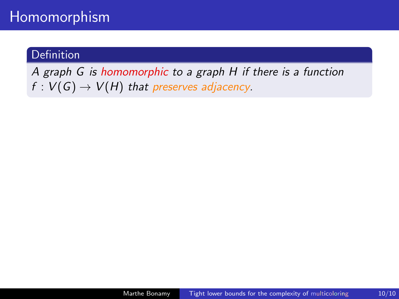### Homomorphism

#### Definition

A graph G is homomorphic to a graph H if there is a function  $f: V(G) \rightarrow V(H)$  that preserves adjacency.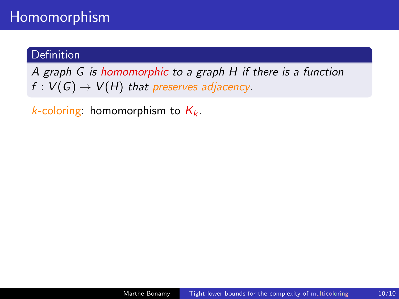A graph G is homomorphic to a graph H if there is a function  $f: V(G) \rightarrow V(H)$  that preserves adjacency.

k-coloring: homomorphism to  $K_k$ .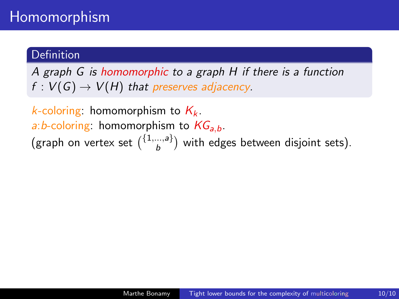A graph G is homomorphic to a graph H if there is a function  $f: V(G) \rightarrow V(H)$  that preserves adjacency.

*k*-coloring: homomorphism to  $K_k$ . a: b-coloring: homomorphism to  $KG_{a,b}$ . (graph on vertex set  $\binom{\{1,\dots,a\}}{b}$  $\binom{m, a}{b}$  with edges between disjoint sets).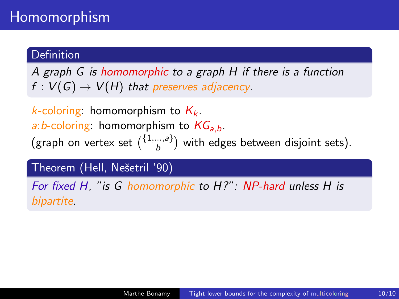A graph G is homomorphic to a graph H if there is a function  $f: V(G) \rightarrow V(H)$  that preserves adjacency.

*k*-coloring: homomorphism to  $K_k$ . a: b-coloring: homomorphism to  $KG_{ab}$ . (graph on vertex set  $\binom{\{1,\dots,a\}}{b}$  $\binom{m, a}{b}$  with edges between disjoint sets).

Theorem (Hell, Neˇsetril '90)

For fixed H, "is G homomorphic to H?": NP-hard unless H is bipartite.